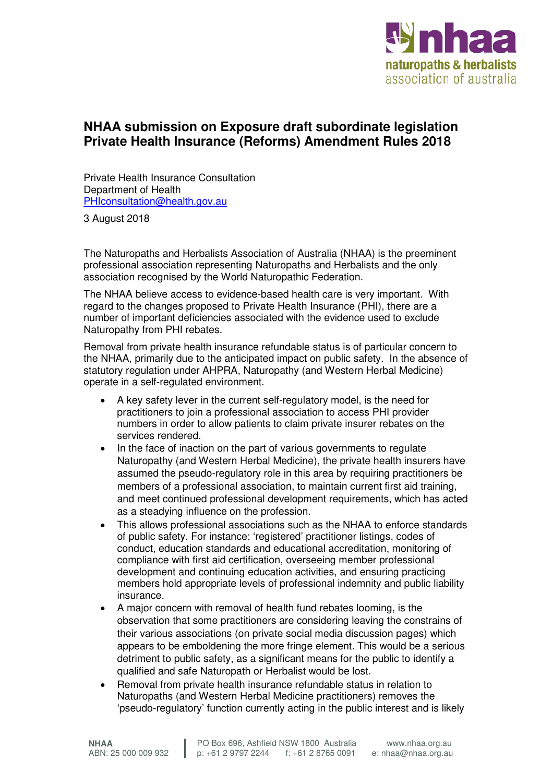

## **NHAA submission on Exposure draft subordinate legislation Private Health Insurance (Reforms) Amendment Rules 2018**

Private Health Insurance Consultation Department of Health PHIconsultation@health.gov.au

3 August 2018

The Naturopaths and Herbalists Association of Australia (NHAA) is the preeminent professional association representing Naturopaths and Herbalists and the only association recognised by the World Naturopathic Federation.

The NHAA believe access to evidence-based health care is very important. With regard to the changes proposed to Private Health Insurance (PHI), there are a number of important deficiencies associated with the evidence used to exclude Naturopathy from PHI rebates.

Removal from private health insurance refundable status is of particular concern to the NHAA, primarily due to the anticipated impact on public safety. In the absence of statutory regulation under AHPRA, Naturopathy (and Western Herbal Medicine) operate in a self-regulated environment.

- A key safety lever in the current self-regulatory model, is the need for practitioners to join a professional association to access PHI provider numbers in order to allow patients to claim private insurer rebates on the services rendered.
- In the face of inaction on the part of various governments to regulate Naturopathy (and Western Herbal Medicine), the private health insurers have assumed the pseudo-regulatory role in this area by requiring practitioners be members of a professional association, to maintain current first aid training, and meet continued professional development requirements, which has acted as a steadying influence on the profession.
- This allows professional associations such as the NHAA to enforce standards of public safety. For instance: 'registered' practitioner listings, codes of conduct, education standards and educational accreditation, monitoring of compliance with first aid certification, overseeing member professional development and continuing education activities, and ensuring practicing members hold appropriate levels of professional indemnity and public liability insurance.
- A major concern with removal of health fund rebates looming, is the observation that some practitioners are considering leaving the constrains of their various associations (on private social media discussion pages) which appears to be emboldening the more fringe element. This would be a serious detriment to public safety, as a significant means for the public to identify a qualified and safe Naturopath or Herbalist would be lost.
- Removal from private health insurance refundable status in relation to Naturopaths (and Western Herbal Medicine practitioners) removes the 'pseudo-regulatory' function currently acting in the public interest and is likely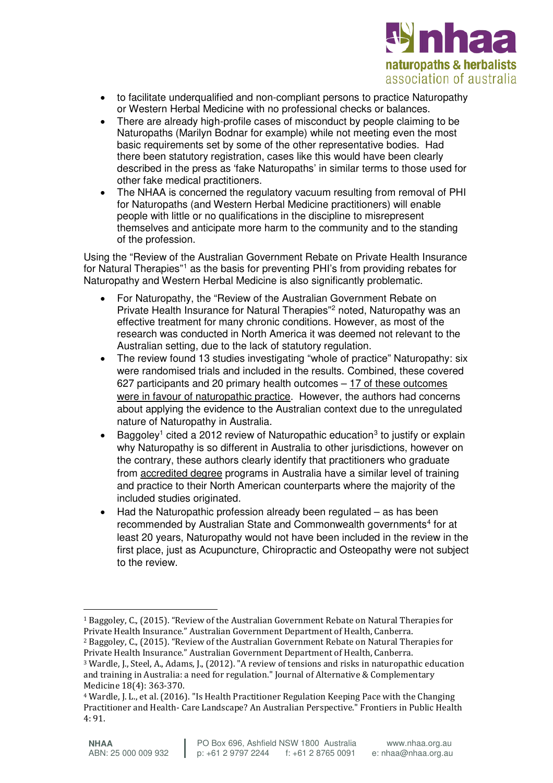

- to facilitate underqualified and non-compliant persons to practice Naturopathy or Western Herbal Medicine with no professional checks or balances.
- There are already high-profile cases of misconduct by people claiming to be Naturopaths (Marilyn Bodnar for example) while not meeting even the most basic requirements set by some of the other representative bodies. Had there been statutory registration, cases like this would have been clearly described in the press as 'fake Naturopaths' in similar terms to those used for other fake medical practitioners.
- The NHAA is concerned the regulatory vacuum resulting from removal of PHI for Naturopaths (and Western Herbal Medicine practitioners) will enable people with little or no qualifications in the discipline to misrepresent themselves and anticipate more harm to the community and to the standing of the profession.

Using the "Review of the Australian Government Rebate on Private Health Insurance for Natural Therapies"<sup>1</sup> as the basis for preventing PHI's from providing rebates for Naturopathy and Western Herbal Medicine is also significantly problematic.

- For Naturopathy, the "Review of the Australian Government Rebate on Private Health Insurance for Natural Therapies"<sup>2</sup> noted, Naturopathy was an effective treatment for many chronic conditions. However, as most of the research was conducted in North America it was deemed not relevant to the Australian setting, due to the lack of statutory regulation.
- The review found 13 studies investigating "whole of practice" Naturopathy: six were randomised trials and included in the results. Combined, these covered 627 participants and 20 primary health outcomes – 17 of these outcomes were in favour of naturopathic practice. However, the authors had concerns about applying the evidence to the Australian context due to the unregulated nature of Naturopathy in Australia.
- Baggoley<sup>1</sup> cited a 2012 review of Naturopathic education<sup>3</sup> to justify or explain why Naturopathy is so different in Australia to other jurisdictions, however on the contrary, these authors clearly identify that practitioners who graduate from accredited degree programs in Australia have a similar level of training and practice to their North American counterparts where the majority of the included studies originated.
- Had the Naturopathic profession already been regulated  $-$  as has been recommended by Australian State and Commonwealth governments<sup>4</sup> for at least 20 years, Naturopathy would not have been included in the review in the first place, just as Acupuncture, Chiropractic and Osteopathy were not subject to the review.

 $\overline{a}$ <sup>1</sup> Baggoley, C., (2015). "Review of the Australian Government Rebate on Natural Therapies for Private Health Insurance." Australian Government Department of Health, Canberra.

<sup>2</sup> Baggoley, C., (2015). "Review of the Australian Government Rebate on Natural Therapies for Private Health Insurance." Australian Government Department of Health, Canberra.

<sup>3</sup> Wardle, J., Steel, A., Adams, J., (2012). "A review of tensions and risks in naturopathic education and training in Australia: a need for regulation." Journal of Alternative & Complementary Medicine 18(4): 363-370.

<sup>4</sup> Wardle, J. L., et al. (2016). "Is Health Practitioner Regulation Keeping Pace with the Changing Practitioner and Health- Care Landscape? An Australian Perspective." Frontiers in Public Health 4: 91.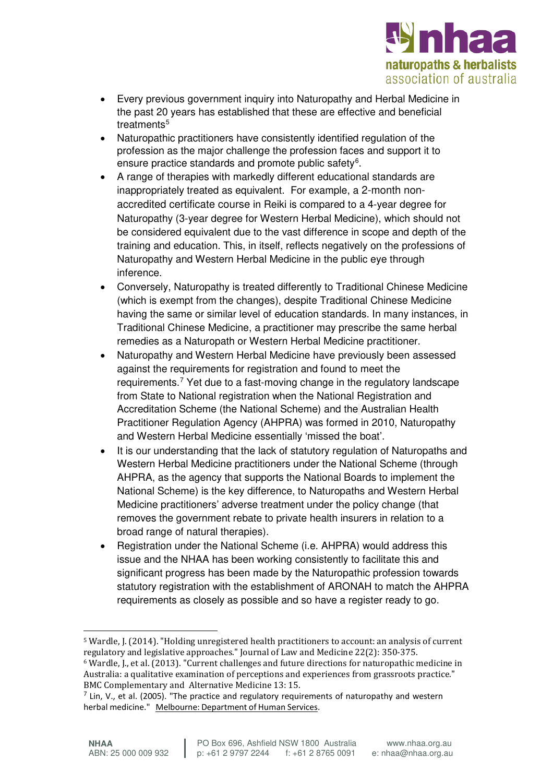

- Every previous government inquiry into Naturopathy and Herbal Medicine in the past 20 years has established that these are effective and beneficial treatments<sup>5</sup>
- Naturopathic practitioners have consistently identified regulation of the profession as the major challenge the profession faces and support it to ensure practice standards and promote public safety<sup>6</sup>.
- A range of therapies with markedly different educational standards are inappropriately treated as equivalent. For example, a 2-month nonaccredited certificate course in Reiki is compared to a 4-year degree for Naturopathy (3-year degree for Western Herbal Medicine), which should not be considered equivalent due to the vast difference in scope and depth of the training and education. This, in itself, reflects negatively on the professions of Naturopathy and Western Herbal Medicine in the public eye through inference.
- Conversely, Naturopathy is treated differently to Traditional Chinese Medicine (which is exempt from the changes), despite Traditional Chinese Medicine having the same or similar level of education standards. In many instances, in Traditional Chinese Medicine, a practitioner may prescribe the same herbal remedies as a Naturopath or Western Herbal Medicine practitioner.
- Naturopathy and Western Herbal Medicine have previously been assessed against the requirements for registration and found to meet the requirements.<sup>7</sup> Yet due to a fast-moving change in the regulatory landscape from State to National registration when the National Registration and Accreditation Scheme (the National Scheme) and the Australian Health Practitioner Regulation Agency (AHPRA) was formed in 2010, Naturopathy and Western Herbal Medicine essentially 'missed the boat'.
- It is our understanding that the lack of statutory regulation of Naturopaths and Western Herbal Medicine practitioners under the National Scheme (through AHPRA, as the agency that supports the National Boards to implement the National Scheme) is the key difference, to Naturopaths and Western Herbal Medicine practitioners' adverse treatment under the policy change (that removes the government rebate to private health insurers in relation to a broad range of natural therapies).
- Registration under the National Scheme (i.e. AHPRA) would address this issue and the NHAA has been working consistently to facilitate this and significant progress has been made by the Naturopathic profession towards statutory registration with the establishment of ARONAH to match the AHPRA requirements as closely as possible and so have a register ready to go.

 $\overline{a}$ <sup>5</sup> Wardle, J. (2014). "Holding unregistered health practitioners to account: an analysis of current regulatory and legislative approaches." Journal of Law and Medicine 22(2): 350-375. <sup>6</sup> Wardle, J., et al. (2013). "Current challenges and future directions for naturopathic medicine in

Australia: a qualitative examination of perceptions and experiences from grassroots practice." BMC Complementary and Alternative Medicine 13: 15.

 $<sup>7</sup>$  Lin, V., et al. (2005). "The practice and regulatory requirements of naturopathy and western</sup> herbal medicine." Melbourne: Department of Human Services.